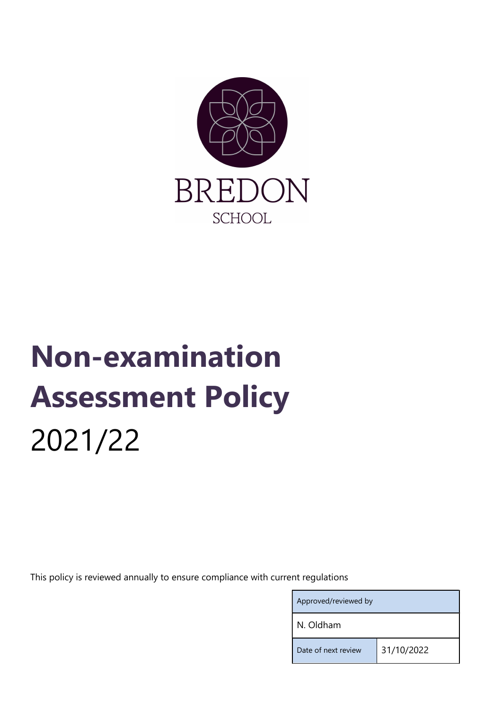

# Non-examination Assessment Policy 2021/22

This policy is reviewed annually to ensure compliance with current regulations

| Approved/reviewed by |            |
|----------------------|------------|
| N. Oldham            |            |
| Date of next review  | 31/10/2022 |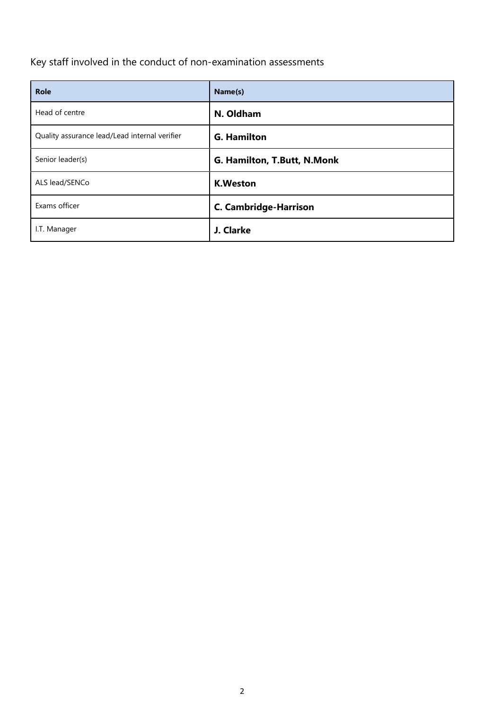Key staff involved in the conduct of non-examination assessments

| <b>Role</b>                                   | Name(s)                      |
|-----------------------------------------------|------------------------------|
| Head of centre                                | N. Oldham                    |
| Quality assurance lead/Lead internal verifier | <b>G. Hamilton</b>           |
| Senior leader(s)                              | G. Hamilton, T.Butt, N.Monk  |
| ALS lead/SENCo                                | <b>K.Weston</b>              |
| Exams officer                                 | <b>C. Cambridge-Harrison</b> |
| I.T. Manager                                  | J. Clarke                    |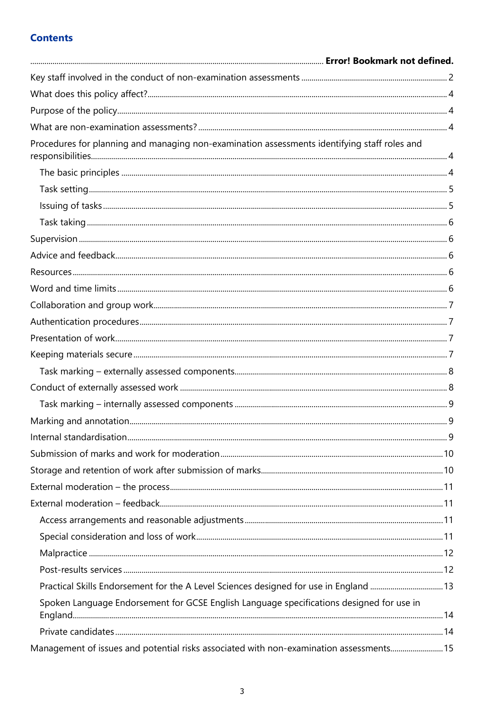## **Contents**

| Procedures for planning and managing non-examination assessments identifying staff roles and |  |
|----------------------------------------------------------------------------------------------|--|
|                                                                                              |  |
|                                                                                              |  |
|                                                                                              |  |
|                                                                                              |  |
|                                                                                              |  |
|                                                                                              |  |
|                                                                                              |  |
|                                                                                              |  |
|                                                                                              |  |
|                                                                                              |  |
|                                                                                              |  |
|                                                                                              |  |
|                                                                                              |  |
|                                                                                              |  |
|                                                                                              |  |
|                                                                                              |  |
|                                                                                              |  |
|                                                                                              |  |
|                                                                                              |  |
|                                                                                              |  |
|                                                                                              |  |
|                                                                                              |  |
|                                                                                              |  |
|                                                                                              |  |
|                                                                                              |  |
| Practical Skills Endorsement for the A Level Sciences designed for use in England 13         |  |
| Spoken Language Endorsement for GCSE English Language specifications designed for use in     |  |
|                                                                                              |  |
| Management of issues and potential risks associated with non-examination assessments 15      |  |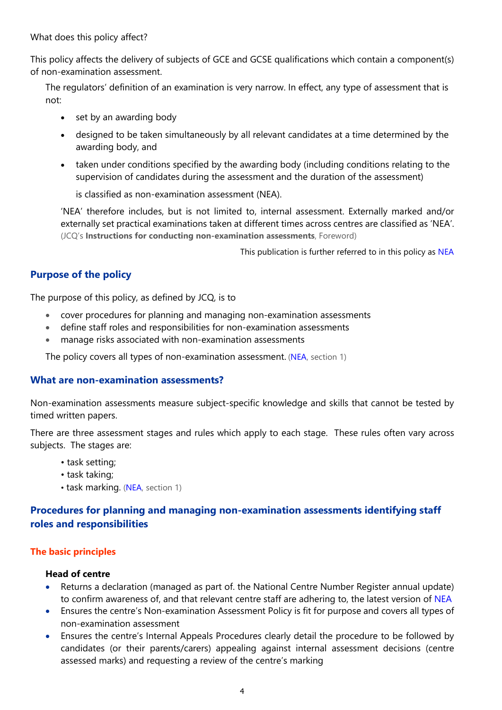What does this policy affect?

This policy affects the delivery of subjects of GCE and GCSE qualifications which contain a component(s) of non-examination assessment.

The regulators' definition of an examination is very narrow. In effect, any type of assessment that is not:

- set by an awarding body
- designed to be taken simultaneously by all relevant candidates at a time determined by the awarding body, and
- taken under conditions specified by the awarding body (including conditions relating to the supervision of candidates during the assessment and the duration of the assessment)

is classified as non-examination assessment (NEA).

'NEA' therefore includes, but is not limited to, internal assessment. Externally marked and/or externally set practical examinations taken at different times across centres are classified as 'NEA'. (JCQ's Instructions for conducting non-examination assessments, Foreword)

This publication is further referred to in this policy as NEA

## Purpose of the policy

The purpose of this policy, as defined by JCQ, is to

- cover procedures for planning and managing non-examination assessments
- define staff roles and responsibilities for non-examination assessments
- manage risks associated with non-examination assessments

The policy covers all types of non-examination assessment. (NEA, section 1)

## What are non-examination assessments?

Non-examination assessments measure subject-specific knowledge and skills that cannot be tested by timed written papers.

There are three assessment stages and rules which apply to each stage. These rules often vary across subjects. The stages are:

- task setting;
- task taking;
- task marking. (NEA, section 1)

## Procedures for planning and managing non-examination assessments identifying staff roles and responsibilities

## The basic principles

#### Head of centre

- Returns a declaration (managed as part of. the National Centre Number Register annual update) to confirm awareness of, and that relevant centre staff are adhering to, the latest version of NEA
- Ensures the centre's Non-examination Assessment Policy is fit for purpose and covers all types of non-examination assessment
- Ensures the centre's Internal Appeals Procedures clearly detail the procedure to be followed by candidates (or their parents/carers) appealing against internal assessment decisions (centre assessed marks) and requesting a review of the centre's marking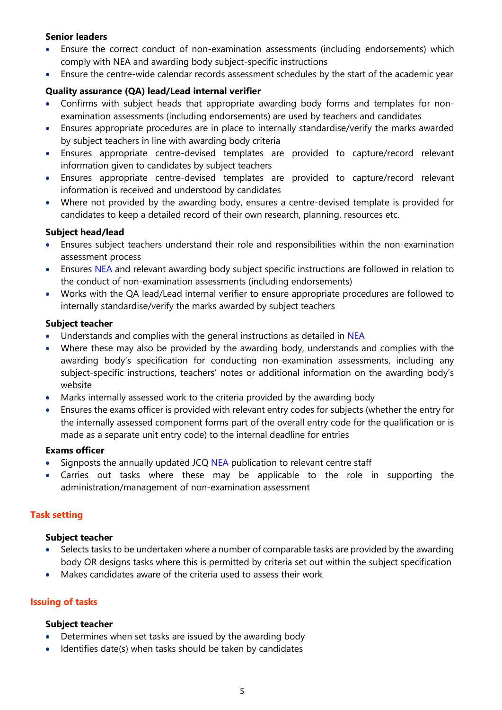## Senior leaders

- Ensure the correct conduct of non-examination assessments (including endorsements) which comply with NEA and awarding body subject-specific instructions
- Ensure the centre-wide calendar records assessment schedules by the start of the academic year

#### Quality assurance (QA) lead/Lead internal verifier

- Confirms with subject heads that appropriate awarding body forms and templates for nonexamination assessments (including endorsements) are used by teachers and candidates
- Ensures appropriate procedures are in place to internally standardise/verify the marks awarded by subject teachers in line with awarding body criteria
- Ensures appropriate centre-devised templates are provided to capture/record relevant information given to candidates by subject teachers
- Ensures appropriate centre-devised templates are provided to capture/record relevant information is received and understood by candidates
- Where not provided by the awarding body, ensures a centre-devised template is provided for candidates to keep a detailed record of their own research, planning, resources etc.

#### Subject head/lead

- Ensures subject teachers understand their role and responsibilities within the non-examination assessment process
- **Ensures NEA and relevant awarding body subject specific instructions are followed in relation to** the conduct of non-examination assessments (including endorsements)
- Works with the QA lead/Lead internal verifier to ensure appropriate procedures are followed to internally standardise/verify the marks awarded by subject teachers

#### Subject teacher

- Understands and complies with the general instructions as detailed in NEA
- Where these may also be provided by the awarding body, understands and complies with the awarding body's specification for conducting non-examination assessments, including any subject-specific instructions, teachers' notes or additional information on the awarding body's website
- Marks internally assessed work to the criteria provided by the awarding body
- Ensures the exams officer is provided with relevant entry codes for subjects (whether the entry for the internally assessed component forms part of the overall entry code for the qualification or is made as a separate unit entry code) to the internal deadline for entries

#### Exams officer

- Signposts the annually updated JCQ NEA publication to relevant centre staff
- Carries out tasks where these may be applicable to the role in supporting the administration/management of non-examination assessment

#### Task setting

#### Subject teacher

- Selects tasks to be undertaken where a number of comparable tasks are provided by the awarding body OR designs tasks where this is permitted by criteria set out within the subject specification
- Makes candidates aware of the criteria used to assess their work

#### Issuing of tasks

- Determines when set tasks are issued by the awarding body
- Identifies date(s) when tasks should be taken by candidates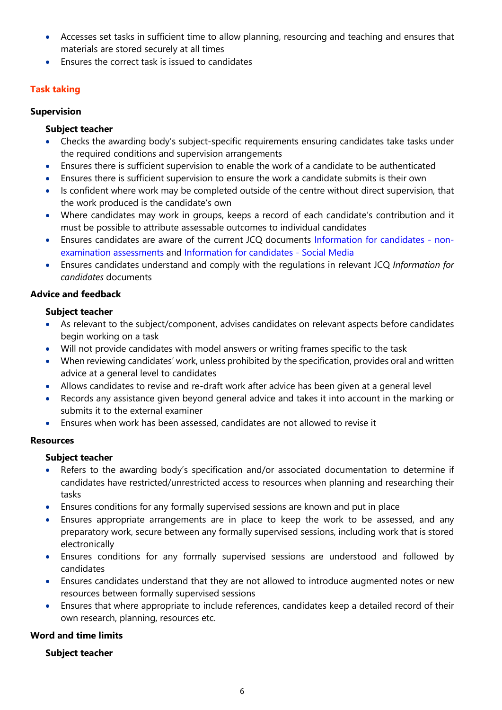- Accesses set tasks in sufficient time to allow planning, resourcing and teaching and ensures that materials are stored securely at all times
- Ensures the correct task is issued to candidates

## Task taking

## Supervision

## Subject teacher

- Checks the awarding body's subject-specific requirements ensuring candidates take tasks under the required conditions and supervision arrangements
- Ensures there is sufficient supervision to enable the work of a candidate to be authenticated
- Ensures there is sufficient supervision to ensure the work a candidate submits is their own
- Is confident where work may be completed outside of the centre without direct supervision, that the work produced is the candidate's own
- Where candidates may work in groups, keeps a record of each candidate's contribution and it must be possible to attribute assessable outcomes to individual candidates
- Ensures candidates are aware of the current JCQ documents Information for candidates nonexamination assessments and Information for candidates - Social Media
- Ensures candidates understand and comply with the regulations in relevant JCQ Information for candidates documents

## Advice and feedback

## Subject teacher

- As relevant to the subject/component, advises candidates on relevant aspects before candidates begin working on a task
- Will not provide candidates with model answers or writing frames specific to the task
- When reviewing candidates' work, unless prohibited by the specification, provides oral and written advice at a general level to candidates
- Allows candidates to revise and re-draft work after advice has been given at a general level
- Records any assistance given beyond general advice and takes it into account in the marking or submits it to the external examiner
- Ensures when work has been assessed, candidates are not allowed to revise it

## Resources

## Subject teacher

- Refers to the awarding body's specification and/or associated documentation to determine if candidates have restricted/unrestricted access to resources when planning and researching their tasks
- Ensures conditions for any formally supervised sessions are known and put in place
- Ensures appropriate arrangements are in place to keep the work to be assessed, and any preparatory work, secure between any formally supervised sessions, including work that is stored electronically
- Ensures conditions for any formally supervised sessions are understood and followed by candidates
- Ensures candidates understand that they are not allowed to introduce augmented notes or new resources between formally supervised sessions
- Ensures that where appropriate to include references, candidates keep a detailed record of their own research, planning, resources etc.

## Word and time limits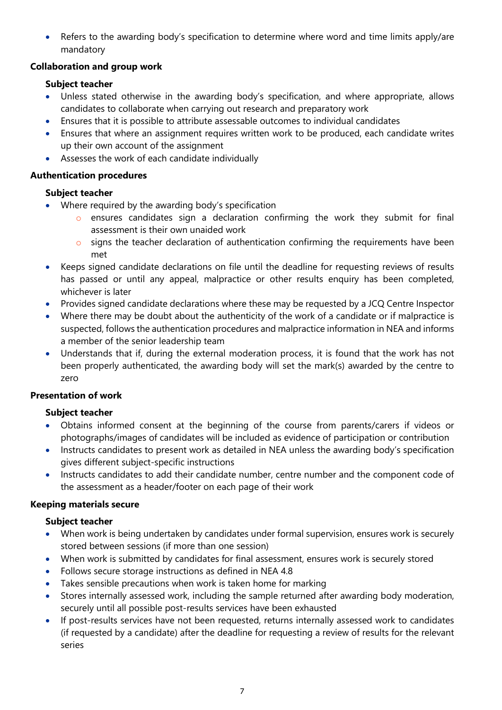Refers to the awarding body's specification to determine where word and time limits apply/are mandatory

## Collaboration and group work

## Subject teacher

- Unless stated otherwise in the awarding body's specification, and where appropriate, allows candidates to collaborate when carrying out research and preparatory work
- Ensures that it is possible to attribute assessable outcomes to individual candidates
- Ensures that where an assignment requires written work to be produced, each candidate writes up their own account of the assignment
- Assesses the work of each candidate individually

## Authentication procedures

## Subject teacher

- Where required by the awarding body's specification
	- o ensures candidates sign a declaration confirming the work they submit for final assessment is their own unaided work
	- o signs the teacher declaration of authentication confirming the requirements have been met
- Keeps signed candidate declarations on file until the deadline for requesting reviews of results has passed or until any appeal, malpractice or other results enquiry has been completed, whichever is later
- Provides signed candidate declarations where these may be requested by a JCQ Centre Inspector
- Where there may be doubt about the authenticity of the work of a candidate or if malpractice is suspected, follows the authentication procedures and malpractice information in NEA and informs a member of the senior leadership team
- Understands that if, during the external moderation process, it is found that the work has not been properly authenticated, the awarding body will set the mark(s) awarded by the centre to zero

## Presentation of work

## Subject teacher

- Obtains informed consent at the beginning of the course from parents/carers if videos or photographs/images of candidates will be included as evidence of participation or contribution
- Instructs candidates to present work as detailed in NEA unless the awarding body's specification gives different subject-specific instructions
- Instructs candidates to add their candidate number, centre number and the component code of the assessment as a header/footer on each page of their work

## Keeping materials secure

- When work is being undertaken by candidates under formal supervision, ensures work is securely stored between sessions (if more than one session)
- When work is submitted by candidates for final assessment, ensures work is securely stored
- Follows secure storage instructions as defined in NEA 4.8
- Takes sensible precautions when work is taken home for marking
- Stores internally assessed work, including the sample returned after awarding body moderation, securely until all possible post-results services have been exhausted
- If post-results services have not been requested, returns internally assessed work to candidates (if requested by a candidate) after the deadline for requesting a review of results for the relevant series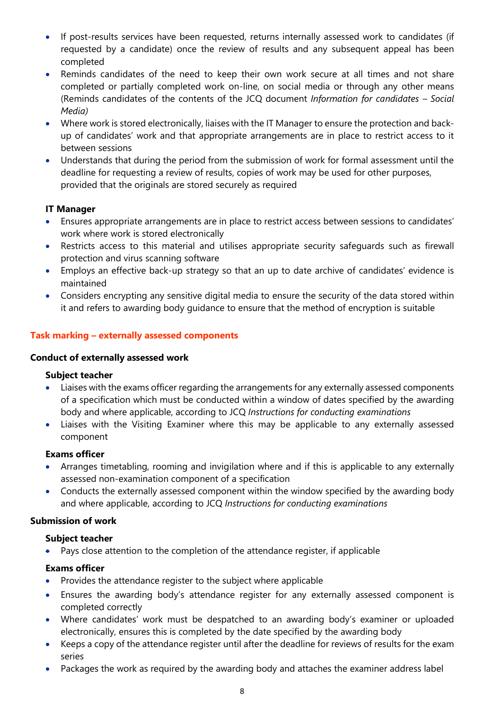- If post-results services have been requested, returns internally assessed work to candidates (if requested by a candidate) once the review of results and any subsequent appeal has been completed
- Reminds candidates of the need to keep their own work secure at all times and not share completed or partially completed work on-line, on social media or through any other means (Reminds candidates of the contents of the JCQ document Information for candidates – Social Media)
- Where work is stored electronically, liaises with the IT Manager to ensure the protection and backup of candidates' work and that appropriate arrangements are in place to restrict access to it between sessions
- Understands that during the period from the submission of work for formal assessment until the deadline for requesting a review of results, copies of work may be used for other purposes, provided that the originals are stored securely as required

## IT Manager

- Ensures appropriate arrangements are in place to restrict access between sessions to candidates' work where work is stored electronically
- Restricts access to this material and utilises appropriate security safeguards such as firewall protection and virus scanning software
- Employs an effective back-up strategy so that an up to date archive of candidates' evidence is maintained
- Considers encrypting any sensitive digital media to ensure the security of the data stored within it and refers to awarding body guidance to ensure that the method of encryption is suitable

## Task marking – externally assessed components

#### Conduct of externally assessed work

#### Subject teacher

- Liaises with the exams officer regarding the arrangements for any externally assessed components of a specification which must be conducted within a window of dates specified by the awarding body and where applicable, according to JCQ Instructions for conducting examinations
- Liaises with the Visiting Examiner where this may be applicable to any externally assessed component

#### Exams officer

- Arranges timetabling, rooming and invigilation where and if this is applicable to any externally assessed non-examination component of a specification
- Conducts the externally assessed component within the window specified by the awarding body and where applicable, according to JCQ Instructions for conducting examinations

#### Submission of work

#### Subject teacher

Pays close attention to the completion of the attendance register, if applicable

#### Exams officer

- Provides the attendance register to the subject where applicable
- Ensures the awarding body's attendance register for any externally assessed component is completed correctly
- Where candidates' work must be despatched to an awarding body's examiner or uploaded electronically, ensures this is completed by the date specified by the awarding body
- Keeps a copy of the attendance register until after the deadline for reviews of results for the exam series
- Packages the work as required by the awarding body and attaches the examiner address label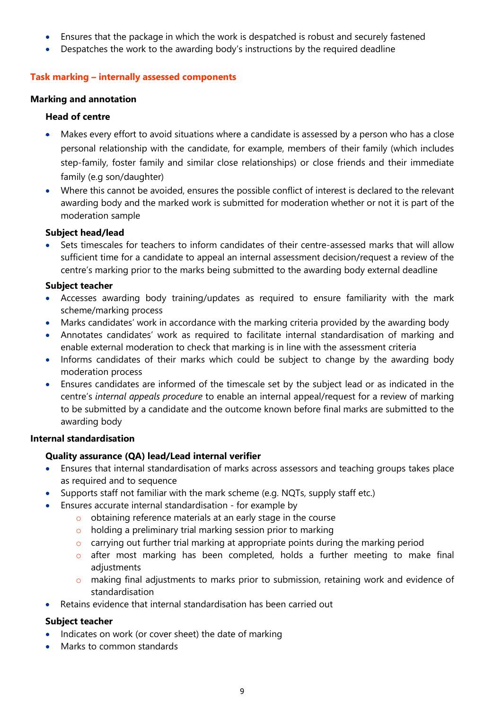- Ensures that the package in which the work is despatched is robust and securely fastened
- Despatches the work to the awarding body's instructions by the required deadline

## Task marking – internally assessed components

#### Marking and annotation

## Head of centre

- Makes every effort to avoid situations where a candidate is assessed by a person who has a close personal relationship with the candidate, for example, members of their family (which includes step-family, foster family and similar close relationships) or close friends and their immediate family (e.g son/daughter)
- Where this cannot be avoided, ensures the possible conflict of interest is declared to the relevant awarding body and the marked work is submitted for moderation whether or not it is part of the moderation sample

## Subject head/lead

 Sets timescales for teachers to inform candidates of their centre-assessed marks that will allow sufficient time for a candidate to appeal an internal assessment decision/request a review of the centre's marking prior to the marks being submitted to the awarding body external deadline

#### Subject teacher

- Accesses awarding body training/updates as required to ensure familiarity with the mark scheme/marking process
- Marks candidates' work in accordance with the marking criteria provided by the awarding body
- Annotates candidates' work as required to facilitate internal standardisation of marking and enable external moderation to check that marking is in line with the assessment criteria
- Informs candidates of their marks which could be subject to change by the awarding body moderation process
- Ensures candidates are informed of the timescale set by the subject lead or as indicated in the centre's internal appeals procedure to enable an internal appeal/request for a review of marking to be submitted by a candidate and the outcome known before final marks are submitted to the awarding body

#### Internal standardisation

## Quality assurance (QA) lead/Lead internal verifier

- Ensures that internal standardisation of marks across assessors and teaching groups takes place as required and to sequence
- Supports staff not familiar with the mark scheme (e.g. NQTs, supply staff etc.)
- Ensures accurate internal standardisation for example by
	- o obtaining reference materials at an early stage in the course
	- o holding a preliminary trial marking session prior to marking
	- o carrying out further trial marking at appropriate points during the marking period
	- o after most marking has been completed, holds a further meeting to make final adjustments
	- o making final adjustments to marks prior to submission, retaining work and evidence of standardisation
- Retains evidence that internal standardisation has been carried out

- Indicates on work (or cover sheet) the date of marking
- Marks to common standards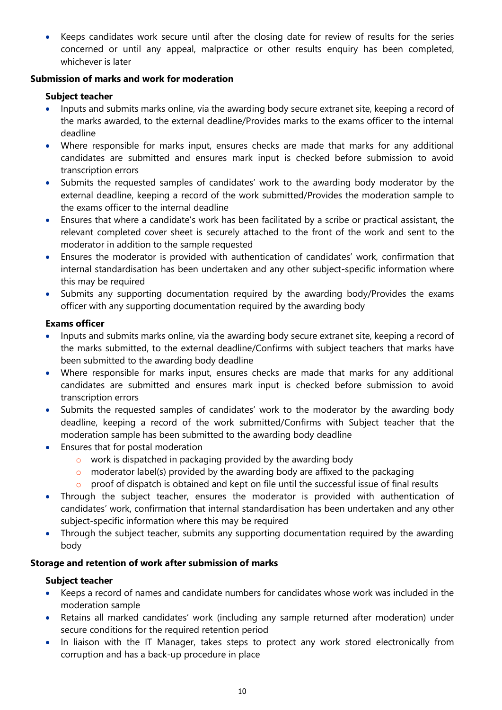Keeps candidates work secure until after the closing date for review of results for the series concerned or until any appeal, malpractice or other results enquiry has been completed, whichever is later

## Submission of marks and work for moderation

## Subject teacher

- Inputs and submits marks online, via the awarding body secure extranet site, keeping a record of the marks awarded, to the external deadline/Provides marks to the exams officer to the internal deadline
- Where responsible for marks input, ensures checks are made that marks for any additional candidates are submitted and ensures mark input is checked before submission to avoid transcription errors
- Submits the requested samples of candidates' work to the awarding body moderator by the external deadline, keeping a record of the work submitted/Provides the moderation sample to the exams officer to the internal deadline
- Ensures that where a candidate's work has been facilitated by a scribe or practical assistant, the relevant completed cover sheet is securely attached to the front of the work and sent to the moderator in addition to the sample requested
- Ensures the moderator is provided with authentication of candidates' work, confirmation that internal standardisation has been undertaken and any other subject-specific information where this may be required
- Submits any supporting documentation required by the awarding body/Provides the exams officer with any supporting documentation required by the awarding body

## Exams officer

- Inputs and submits marks online, via the awarding body secure extranet site, keeping a record of the marks submitted, to the external deadline/Confirms with subject teachers that marks have been submitted to the awarding body deadline
- Where responsible for marks input, ensures checks are made that marks for any additional candidates are submitted and ensures mark input is checked before submission to avoid transcription errors
- Submits the requested samples of candidates' work to the moderator by the awarding body deadline, keeping a record of the work submitted/Confirms with Subject teacher that the moderation sample has been submitted to the awarding body deadline
- Ensures that for postal moderation
	- o work is dispatched in packaging provided by the awarding body
	- $\circ$  moderator label(s) provided by the awarding body are affixed to the packaging
	- o proof of dispatch is obtained and kept on file until the successful issue of final results
- Through the subject teacher, ensures the moderator is provided with authentication of candidates' work, confirmation that internal standardisation has been undertaken and any other subject-specific information where this may be required
- Through the subject teacher, submits any supporting documentation required by the awarding body

## Storage and retention of work after submission of marks

- Keeps a record of names and candidate numbers for candidates whose work was included in the moderation sample
- Retains all marked candidates' work (including any sample returned after moderation) under secure conditions for the required retention period
- In liaison with the IT Manager, takes steps to protect any work stored electronically from corruption and has a back-up procedure in place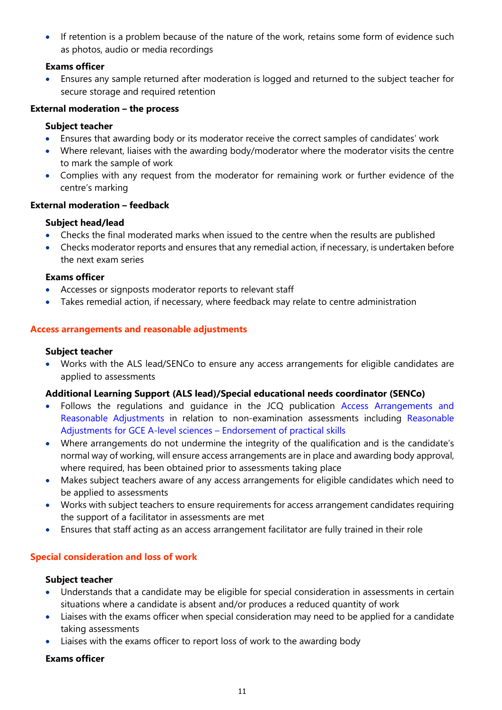If retention is a problem because of the nature of the work, retains some form of evidence such as photos, audio or media recordings

## Exams officer

 Ensures any sample returned after moderation is logged and returned to the subject teacher for secure storage and required retention

## External moderation – the process

## Subject teacher

- Ensures that awarding body or its moderator receive the correct samples of candidates' work
- Where relevant, liaises with the awarding body/moderator where the moderator visits the centre to mark the sample of work
- Complies with any request from the moderator for remaining work or further evidence of the centre's marking

## External moderation – feedback

## Subject head/lead

- Checks the final moderated marks when issued to the centre when the results are published
- Checks moderator reports and ensures that any remedial action, if necessary, is undertaken before the next exam series

## Exams officer

- Accesses or signposts moderator reports to relevant staff
- Takes remedial action, if necessary, where feedback may relate to centre administration

## Access arrangements and reasonable adjustments

## Subject teacher

 Works with the ALS lead/SENCo to ensure any access arrangements for eligible candidates are applied to assessments

## Additional Learning Support (ALS lead)/Special educational needs coordinator (SENCo)

- Follows the regulations and guidance in the JCQ publication Access Arrangements and Reasonable Adjustments in relation to non-examination assessments including Reasonable Adjustments for GCE A-level sciences – Endorsement of practical skills
- Where arrangements do not undermine the integrity of the qualification and is the candidate's normal way of working, will ensure access arrangements are in place and awarding body approval, where required, has been obtained prior to assessments taking place
- Makes subject teachers aware of any access arrangements for eligible candidates which need to be applied to assessments
- Works with subject teachers to ensure requirements for access arrangement candidates requiring the support of a facilitator in assessments are met
- Ensures that staff acting as an access arrangement facilitator are fully trained in their role

## Special consideration and loss of work

## Subject teacher

- Understands that a candidate may be eligible for special consideration in assessments in certain situations where a candidate is absent and/or produces a reduced quantity of work
- Liaises with the exams officer when special consideration may need to be applied for a candidate taking assessments
- Liaises with the exams officer to report loss of work to the awarding body

## Exams officer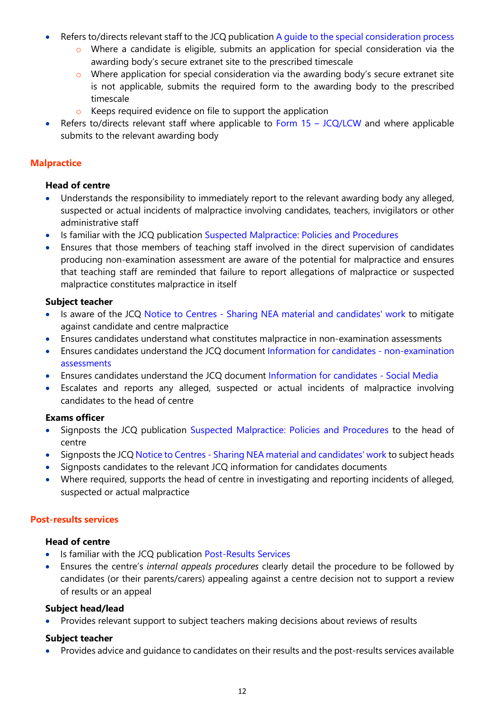- Refers to/directs relevant staff to the JCQ publication A guide to the special consideration process
	- o Where a candidate is eligible, submits an application for special consideration via the awarding body's secure extranet site to the prescribed timescale
	- $\circ$  Where application for special consideration via the awarding body's secure extranet site is not applicable, submits the required form to the awarding body to the prescribed timescale
	- o Keeps required evidence on file to support the application
- Refers to/directs relevant staff where applicable to Form  $15 JCQ/LCW$  and where applicable submits to the relevant awarding body

#### **Malpractice**

#### Head of centre

- Understands the responsibility to immediately report to the relevant awarding body any alleged, suspected or actual incidents of malpractice involving candidates, teachers, invigilators or other administrative staff
- Is familiar with the JCQ publication Suspected Malpractice: Policies and Procedures
- Ensures that those members of teaching staff involved in the direct supervision of candidates producing non-examination assessment are aware of the potential for malpractice and ensures that teaching staff are reminded that failure to report allegations of malpractice or suspected malpractice constitutes malpractice in itself

#### Subject teacher

- Is aware of the JCQ Notice to Centres Sharing NEA material and candidates' work to mitigate against candidate and centre malpractice
- Ensures candidates understand what constitutes malpractice in non-examination assessments
- Ensures candidates understand the JCQ document Information for candidates non-examination assessments
- Ensures candidates understand the JCQ document Information for candidates Social Media
- Escalates and reports any alleged, suspected or actual incidents of malpractice involving candidates to the head of centre

#### Exams officer

- Signposts the JCQ publication Suspected Malpractice: Policies and Procedures to the head of centre
- Signposts the JCQ Notice to Centres Sharing NEA material and candidates' work to subject heads
- Signposts candidates to the relevant JCQ information for candidates documents
- Where required, supports the head of centre in investigating and reporting incidents of alleged, suspected or actual malpractice

#### Post-results services

#### Head of centre

- Is familiar with the JCQ publication Post-Results Services
- Ensures the centre's internal appeals procedures clearly detail the procedure to be followed by candidates (or their parents/carers) appealing against a centre decision not to support a review of results or an appeal

#### Subject head/lead

Provides relevant support to subject teachers making decisions about reviews of results

#### Subject teacher

Provides advice and guidance to candidates on their results and the post-results services available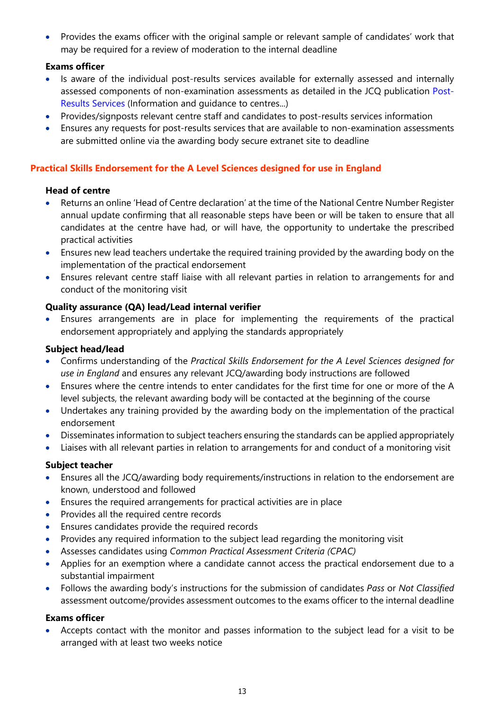Provides the exams officer with the original sample or relevant sample of candidates' work that may be required for a review of moderation to the internal deadline

## Exams officer

- Is aware of the individual post-results services available for externally assessed and internally assessed components of non-examination assessments as detailed in the JCQ publication Post-Results Services (Information and guidance to centres...)
- Provides/signposts relevant centre staff and candidates to post-results services information
- Ensures any requests for post-results services that are available to non-examination assessments are submitted online via the awarding body secure extranet site to deadline

## Practical Skills Endorsement for the A Level Sciences designed for use in England

#### Head of centre

- Returns an online 'Head of Centre declaration' at the time of the National Centre Number Register annual update confirming that all reasonable steps have been or will be taken to ensure that all candidates at the centre have had, or will have, the opportunity to undertake the prescribed practical activities
- Ensures new lead teachers undertake the required training provided by the awarding body on the implementation of the practical endorsement
- Ensures relevant centre staff liaise with all relevant parties in relation to arrangements for and conduct of the monitoring visit

#### Quality assurance (QA) lead/Lead internal verifier

 Ensures arrangements are in place for implementing the requirements of the practical endorsement appropriately and applying the standards appropriately

## Subject head/lead

- Confirms understanding of the Practical Skills Endorsement for the A Level Sciences designed for use in England and ensures any relevant JCQ/awarding body instructions are followed
- Ensures where the centre intends to enter candidates for the first time for one or more of the A level subjects, the relevant awarding body will be contacted at the beginning of the course
- Undertakes any training provided by the awarding body on the implementation of the practical endorsement
- Disseminates information to subject teachers ensuring the standards can be applied appropriately
- Liaises with all relevant parties in relation to arrangements for and conduct of a monitoring visit

## Subject teacher

- Ensures all the JCQ/awarding body requirements/instructions in relation to the endorsement are known, understood and followed
- Ensures the required arrangements for practical activities are in place
- Provides all the required centre records
- Ensures candidates provide the required records
- Provides any required information to the subject lead regarding the monitoring visit
- Assesses candidates using Common Practical Assessment Criteria (CPAC)
- Applies for an exemption where a candidate cannot access the practical endorsement due to a substantial impairment
- Follows the awarding body's instructions for the submission of candidates Pass or Not Classified assessment outcome/provides assessment outcomes to the exams officer to the internal deadline

#### Exams officer

 Accepts contact with the monitor and passes information to the subject lead for a visit to be arranged with at least two weeks notice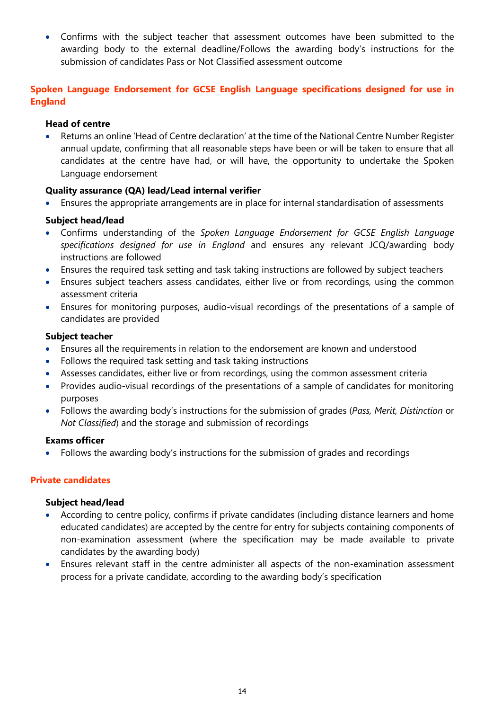Confirms with the subject teacher that assessment outcomes have been submitted to the awarding body to the external deadline/Follows the awarding body's instructions for the submission of candidates Pass or Not Classified assessment outcome

## Spoken Language Endorsement for GCSE English Language specifications designed for use in England

#### Head of centre

 Returns an online 'Head of Centre declaration' at the time of the National Centre Number Register annual update, confirming that all reasonable steps have been or will be taken to ensure that all candidates at the centre have had, or will have, the opportunity to undertake the Spoken Language endorsement

#### Quality assurance (QA) lead/Lead internal verifier

Ensures the appropriate arrangements are in place for internal standardisation of assessments

#### Subject head/lead

- Confirms understanding of the Spoken Language Endorsement for GCSE English Language specifications designed for use in England and ensures any relevant JCQ/awarding body instructions are followed
- Ensures the required task setting and task taking instructions are followed by subject teachers
- Ensures subject teachers assess candidates, either live or from recordings, using the common assessment criteria
- Ensures for monitoring purposes, audio-visual recordings of the presentations of a sample of candidates are provided

#### Subject teacher

- Ensures all the requirements in relation to the endorsement are known and understood
- Follows the required task setting and task taking instructions
- Assesses candidates, either live or from recordings, using the common assessment criteria
- Provides audio-visual recordings of the presentations of a sample of candidates for monitoring purposes
- Follows the awarding body's instructions for the submission of grades (Pass, Merit, Distinction or Not Classified) and the storage and submission of recordings

#### Exams officer

Follows the awarding body's instructions for the submission of grades and recordings

#### Private candidates

#### Subject head/lead

- According to centre policy, confirms if private candidates (including distance learners and home educated candidates) are accepted by the centre for entry for subjects containing components of non-examination assessment (where the specification may be made available to private candidates by the awarding body)
- Ensures relevant staff in the centre administer all aspects of the non-examination assessment process for a private candidate, according to the awarding body's specification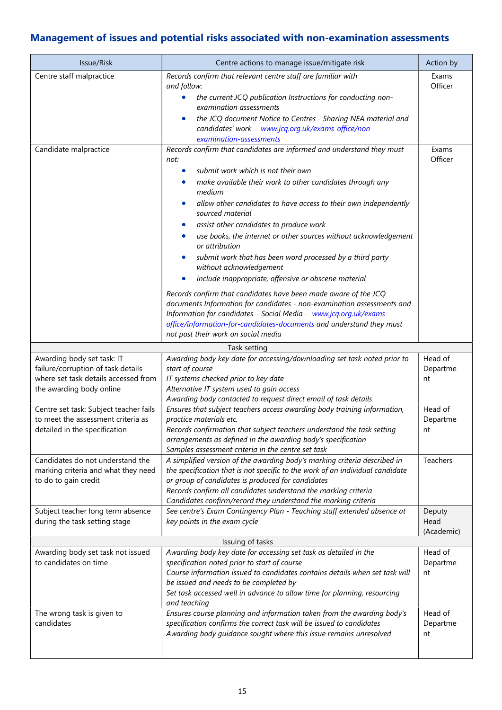## Management of issues and potential risks associated with non-examination assessments

| Issue/Risk                                                                                                                           | Centre actions to manage issue/mitigate risk                                                                                                                                                                                                                                                                                                                                                                                                                                                                                                                                                                                                                                                                                                                                                                                                                                                                      | Action by                    |
|--------------------------------------------------------------------------------------------------------------------------------------|-------------------------------------------------------------------------------------------------------------------------------------------------------------------------------------------------------------------------------------------------------------------------------------------------------------------------------------------------------------------------------------------------------------------------------------------------------------------------------------------------------------------------------------------------------------------------------------------------------------------------------------------------------------------------------------------------------------------------------------------------------------------------------------------------------------------------------------------------------------------------------------------------------------------|------------------------------|
| Centre staff malpractice                                                                                                             | Records confirm that relevant centre staff are familiar with<br>and follow:                                                                                                                                                                                                                                                                                                                                                                                                                                                                                                                                                                                                                                                                                                                                                                                                                                       | Exams<br>Officer             |
|                                                                                                                                      | the current JCQ publication Instructions for conducting non-<br>$\bullet$<br>examination assessments<br>the JCQ document Notice to Centres - Sharing NEA material and<br>candidates' work - www.jcq.org.uk/exams-office/non-                                                                                                                                                                                                                                                                                                                                                                                                                                                                                                                                                                                                                                                                                      |                              |
|                                                                                                                                      | examination-assessments                                                                                                                                                                                                                                                                                                                                                                                                                                                                                                                                                                                                                                                                                                                                                                                                                                                                                           |                              |
| Candidate malpractice                                                                                                                | Records confirm that candidates are informed and understand they must<br>not:<br>submit work which is not their own<br>make available their work to other candidates through any<br>medium<br>allow other candidates to have access to their own independently<br>sourced material<br>assist other candidates to produce work<br>use books, the internet or other sources without acknowledgement<br>or attribution<br>submit work that has been word processed by a third party<br>without acknowledgement<br>include inappropriate, offensive or obscene material<br>$\bullet$<br>Records confirm that candidates have been made aware of the JCQ<br>documents Information for candidates - non-examination assessments and<br>Information for candidates - Social Media - www.jcq.org.uk/exams-<br>office/information-for-candidates-documents and understand they must<br>not post their work on social media | Exams<br>Officer             |
|                                                                                                                                      | Task setting                                                                                                                                                                                                                                                                                                                                                                                                                                                                                                                                                                                                                                                                                                                                                                                                                                                                                                      |                              |
| Awarding body set task: IT<br>failure/corruption of task details<br>where set task details accessed from<br>the awarding body online | Awarding body key date for accessing/downloading set task noted prior to<br>start of course<br>IT systems checked prior to key date<br>Alternative IT system used to gain access<br>Awarding body contacted to request direct email of task details                                                                                                                                                                                                                                                                                                                                                                                                                                                                                                                                                                                                                                                               | Head of<br>Departme<br>nt    |
| Centre set task: Subject teacher fails<br>to meet the assessment criteria as<br>detailed in the specification                        | Ensures that subject teachers access awarding body training information,<br>practice materials etc.<br>Records confirmation that subject teachers understand the task setting<br>arrangements as defined in the awarding body's specification<br>Samples assessment criteria in the centre set task                                                                                                                                                                                                                                                                                                                                                                                                                                                                                                                                                                                                               | Head of<br>Departme<br>nt    |
| Candidates do not understand the<br>marking criteria and what they need<br>to do to gain credit                                      | A simplified version of the awarding body's marking criteria described in<br>the specification that is not specific to the work of an individual candidate<br>or group of candidates is produced for candidates<br>Records confirm all candidates understand the marking criteria<br>Candidates confirm/record they understand the marking criteria                                                                                                                                                                                                                                                                                                                                                                                                                                                                                                                                                               | Teachers                     |
| Subject teacher long term absence<br>during the task setting stage                                                                   | See centre's Exam Contingency Plan - Teaching staff extended absence at<br>key points in the exam cycle                                                                                                                                                                                                                                                                                                                                                                                                                                                                                                                                                                                                                                                                                                                                                                                                           | Deputy<br>Head<br>(Academic) |
| Issuing of tasks                                                                                                                     |                                                                                                                                                                                                                                                                                                                                                                                                                                                                                                                                                                                                                                                                                                                                                                                                                                                                                                                   |                              |
| Awarding body set task not issued<br>to candidates on time                                                                           | Awarding body key date for accessing set task as detailed in the<br>specification noted prior to start of course<br>Course information issued to candidates contains details when set task will<br>be issued and needs to be completed by<br>Set task accessed well in advance to allow time for planning, resourcing<br>and teaching                                                                                                                                                                                                                                                                                                                                                                                                                                                                                                                                                                             | Head of<br>Departme<br>nt    |
| The wrong task is given to<br>candidates                                                                                             | Ensures course planning and information taken from the awarding body's<br>specification confirms the correct task will be issued to candidates<br>Awarding body guidance sought where this issue remains unresolved                                                                                                                                                                                                                                                                                                                                                                                                                                                                                                                                                                                                                                                                                               | Head of<br>Departme<br>nt    |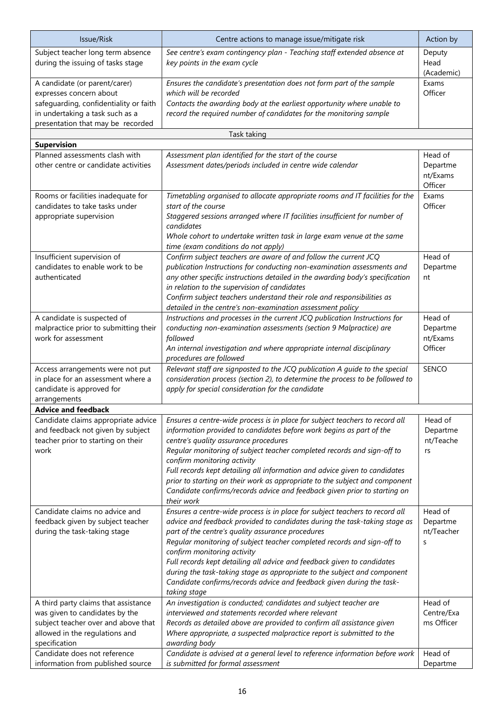| Issue/Risk                                                                                                                                                       | Centre actions to manage issue/mitigate risk                                                                                                                                                                                                                                                                                                                                                                                                                                                                                                                              | Action by                                  |
|------------------------------------------------------------------------------------------------------------------------------------------------------------------|---------------------------------------------------------------------------------------------------------------------------------------------------------------------------------------------------------------------------------------------------------------------------------------------------------------------------------------------------------------------------------------------------------------------------------------------------------------------------------------------------------------------------------------------------------------------------|--------------------------------------------|
| Subject teacher long term absence<br>during the issuing of tasks stage                                                                                           | See centre's exam contingency plan - Teaching staff extended absence at<br>key points in the exam cycle                                                                                                                                                                                                                                                                                                                                                                                                                                                                   | Deputy<br>Head<br>(Academic)               |
| A candidate (or parent/carer)<br>expresses concern about                                                                                                         | Ensures the candidate's presentation does not form part of the sample<br>which will be recorded                                                                                                                                                                                                                                                                                                                                                                                                                                                                           | Exams<br>Officer                           |
| safeguarding, confidentiality or faith<br>in undertaking a task such as a<br>presentation that may be recorded                                                   | Contacts the awarding body at the earliest opportunity where unable to<br>record the required number of candidates for the monitoring sample                                                                                                                                                                                                                                                                                                                                                                                                                              |                                            |
|                                                                                                                                                                  | Task taking                                                                                                                                                                                                                                                                                                                                                                                                                                                                                                                                                               |                                            |
| <b>Supervision</b>                                                                                                                                               |                                                                                                                                                                                                                                                                                                                                                                                                                                                                                                                                                                           |                                            |
| Planned assessments clash with<br>other centre or candidate activities                                                                                           | Assessment plan identified for the start of the course<br>Assessment dates/periods included in centre wide calendar                                                                                                                                                                                                                                                                                                                                                                                                                                                       | Head of<br>Departme<br>nt/Exams<br>Officer |
| Rooms or facilities inadequate for<br>candidates to take tasks under<br>appropriate supervision                                                                  | Timetabling organised to allocate appropriate rooms and IT facilities for the<br>start of the course<br>Staggered sessions arranged where IT facilities insufficient for number of<br>candidates<br>Whole cohort to undertake written task in large exam venue at the same<br>time (exam conditions do not apply)                                                                                                                                                                                                                                                         | Exams<br>Officer                           |
| Insufficient supervision of<br>candidates to enable work to be<br>authenticated                                                                                  | Confirm subject teachers are aware of and follow the current JCQ<br>publication Instructions for conducting non-examination assessments and<br>any other specific instructions detailed in the awarding body's specification<br>in relation to the supervision of candidates<br>Confirm subject teachers understand their role and responsibilities as<br>detailed in the centre's non-examination assessment policy                                                                                                                                                      | Head of<br>Departme<br>nt                  |
| A candidate is suspected of<br>malpractice prior to submitting their<br>work for assessment                                                                      | Instructions and processes in the current JCQ publication Instructions for<br>conducting non-examination assessments (section 9 Malpractice) are<br>followed<br>An internal investigation and where appropriate internal disciplinary<br>procedures are followed                                                                                                                                                                                                                                                                                                          | Head of<br>Departme<br>nt/Exams<br>Officer |
| Access arrangements were not put<br>in place for an assessment where a<br>candidate is approved for<br>arrangements                                              | Relevant staff are signposted to the JCQ publication A guide to the special<br>consideration process (section 2), to determine the process to be followed to<br>apply for special consideration for the candidate                                                                                                                                                                                                                                                                                                                                                         | SENCO                                      |
| <b>Advice and feedback</b>                                                                                                                                       |                                                                                                                                                                                                                                                                                                                                                                                                                                                                                                                                                                           |                                            |
| Candidate claims appropriate advice<br>and feedback not given by subject<br>teacher prior to starting on their<br>work                                           | Ensures a centre-wide process is in place for subject teachers to record all<br>information provided to candidates before work begins as part of the<br>centre's quality assurance procedures<br>Regular monitoring of subject teacher completed records and sign-off to<br>confirm monitoring activity<br>Full records kept detailing all information and advice given to candidates<br>prior to starting on their work as appropriate to the subject and component<br>Candidate confirms/records advice and feedback given prior to starting on<br>their work           | Head of<br>Departme<br>nt/Teache<br>rs     |
| Candidate claims no advice and<br>feedback given by subject teacher<br>during the task-taking stage                                                              | Ensures a centre-wide process is in place for subject teachers to record all<br>advice and feedback provided to candidates during the task-taking stage as<br>part of the centre's quality assurance procedures<br>Regular monitoring of subject teacher completed records and sign-off to<br>confirm monitoring activity<br>Full records kept detailing all advice and feedback given to candidates<br>during the task-taking stage as appropriate to the subject and component<br>Candidate confirms/records advice and feedback given during the task-<br>taking stage | Head of<br>Departme<br>nt/Teacher<br>S     |
| A third party claims that assistance<br>was given to candidates by the<br>subject teacher over and above that<br>allowed in the regulations and<br>specification | An investigation is conducted; candidates and subject teacher are<br>interviewed and statements recorded where relevant<br>Records as detailed above are provided to confirm all assistance given<br>Where appropriate, a suspected malpractice report is submitted to the<br>awarding body                                                                                                                                                                                                                                                                               | Head of<br>Centre/Exa<br>ms Officer        |
| Candidate does not reference<br>information from published source                                                                                                | Candidate is advised at a general level to reference information before work<br>is submitted for formal assessment                                                                                                                                                                                                                                                                                                                                                                                                                                                        | Head of<br>Departme                        |
|                                                                                                                                                                  |                                                                                                                                                                                                                                                                                                                                                                                                                                                                                                                                                                           |                                            |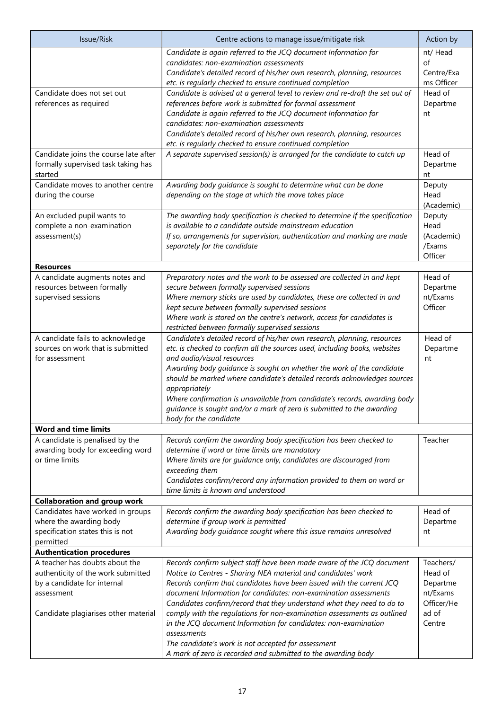| Issue/Risk                                                                   | Centre actions to manage issue/mitigate risk                                                                                                       | Action by                |
|------------------------------------------------------------------------------|----------------------------------------------------------------------------------------------------------------------------------------------------|--------------------------|
|                                                                              | Candidate is again referred to the JCQ document Information for                                                                                    | nt/ Head                 |
|                                                                              | candidates: non-examination assessments                                                                                                            | of                       |
|                                                                              | Candidate's detailed record of his/her own research, planning, resources<br>etc. is regularly checked to ensure continued completion               | Centre/Exa<br>ms Officer |
| Candidate does not set out                                                   | Candidate is advised at a general level to review and re-draft the set out of                                                                      | Head of                  |
| references as required                                                       | references before work is submitted for formal assessment                                                                                          | Departme                 |
|                                                                              | Candidate is again referred to the JCQ document Information for                                                                                    | nt                       |
|                                                                              | candidates: non-examination assessments                                                                                                            |                          |
|                                                                              | Candidate's detailed record of his/her own research, planning, resources                                                                           |                          |
|                                                                              | etc. is regularly checked to ensure continued completion                                                                                           |                          |
| Candidate joins the course late after<br>formally supervised task taking has | A separate supervised session(s) is arranged for the candidate to catch up                                                                         | Head of<br>Departme      |
| started                                                                      |                                                                                                                                                    | nt                       |
| Candidate moves to another centre                                            | Awarding body guidance is sought to determine what can be done                                                                                     | Deputy                   |
| during the course                                                            | depending on the stage at which the move takes place                                                                                               | Head                     |
|                                                                              |                                                                                                                                                    | (Academic)               |
| An excluded pupil wants to                                                   | The awarding body specification is checked to determine if the specification                                                                       | Deputy                   |
| complete a non-examination                                                   | is available to a candidate outside mainstream education                                                                                           | Head                     |
| assessment(s)                                                                | If so, arrangements for supervision, authentication and marking are made<br>separately for the candidate                                           | (Academic)<br>/Exams     |
|                                                                              |                                                                                                                                                    | Officer                  |
| <b>Resources</b>                                                             |                                                                                                                                                    |                          |
| A candidate augments notes and                                               | Preparatory notes and the work to be assessed are collected in and kept                                                                            | Head of                  |
| resources between formally                                                   | secure between formally supervised sessions                                                                                                        | Departme                 |
| supervised sessions                                                          | Where memory sticks are used by candidates, these are collected in and                                                                             | nt/Exams                 |
|                                                                              | kept secure between formally supervised sessions                                                                                                   | Officer                  |
|                                                                              | Where work is stored on the centre's network, access for candidates is<br>restricted between formally supervised sessions                          |                          |
| A candidate fails to acknowledge                                             | Candidate's detailed record of his/her own research, planning, resources                                                                           | Head of                  |
| sources on work that is submitted                                            | etc. is checked to confirm all the sources used, including books, websites                                                                         | Departme                 |
| for assessment                                                               | and audio/visual resources                                                                                                                         | nt                       |
|                                                                              | Awarding body guidance is sought on whether the work of the candidate                                                                              |                          |
|                                                                              | should be marked where candidate's detailed records acknowledges sources                                                                           |                          |
|                                                                              | appropriately                                                                                                                                      |                          |
|                                                                              | Where confirmation is unavailable from candidate's records, awarding body<br>guidance is sought and/or a mark of zero is submitted to the awarding |                          |
|                                                                              | body for the candidate                                                                                                                             |                          |
| <b>Word and time limits</b>                                                  |                                                                                                                                                    |                          |
| A candidate is penalised by the                                              | Records confirm the awarding body specification has been checked to                                                                                | Teacher                  |
| awarding body for exceeding word                                             | determine if word or time limits are mandatory                                                                                                     |                          |
| or time limits                                                               | Where limits are for guidance only, candidates are discouraged from                                                                                |                          |
|                                                                              | exceeding them<br>Candidates confirm/record any information provided to them on word or                                                            |                          |
|                                                                              | time limits is known and understood                                                                                                                |                          |
| <b>Collaboration and group work</b>                                          |                                                                                                                                                    |                          |
| Candidates have worked in groups                                             | Records confirm the awarding body specification has been checked to                                                                                | Head of                  |
| where the awarding body                                                      | determine if group work is permitted                                                                                                               | Departme                 |
| specification states this is not                                             | Awarding body guidance sought where this issue remains unresolved                                                                                  | nt                       |
| permitted                                                                    |                                                                                                                                                    |                          |
| <b>Authentication procedures</b><br>A teacher has doubts about the           | Records confirm subject staff have been made aware of the JCQ document                                                                             | Teachers/                |
| authenticity of the work submitted                                           | Notice to Centres - Sharing NEA material and candidates' work                                                                                      | Head of                  |
| by a candidate for internal                                                  | Records confirm that candidates have been issued with the current JCQ                                                                              | Departme                 |
| assessment                                                                   | document Information for candidates: non-examination assessments                                                                                   | nt/Exams                 |
|                                                                              | Candidates confirm/record that they understand what they need to do to                                                                             | Officer/He               |
| Candidate plagiarises other material                                         | comply with the regulations for non-examination assessments as outlined                                                                            | ad of                    |
|                                                                              | in the JCQ document Information for candidates: non-examination                                                                                    | Centre                   |
|                                                                              | assessments<br>The candidate's work is not accepted for assessment                                                                                 |                          |
|                                                                              | A mark of zero is recorded and submitted to the awarding body                                                                                      |                          |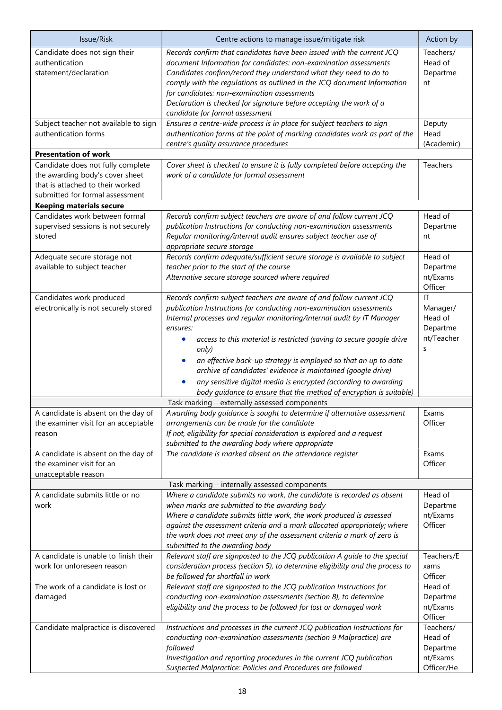| Issue/Risk                                                                                                                                  | Centre actions to manage issue/mitigate risk                                                                                                                                                                                                                                                                                                                                                                                                                                                                                                                                                   | Action by                                                  |
|---------------------------------------------------------------------------------------------------------------------------------------------|------------------------------------------------------------------------------------------------------------------------------------------------------------------------------------------------------------------------------------------------------------------------------------------------------------------------------------------------------------------------------------------------------------------------------------------------------------------------------------------------------------------------------------------------------------------------------------------------|------------------------------------------------------------|
| Candidate does not sign their<br>authentication<br>statement/declaration                                                                    | Records confirm that candidates have been issued with the current JCQ<br>document Information for candidates: non-examination assessments<br>Candidates confirm/record they understand what they need to do to<br>comply with the regulations as outlined in the JCQ document Information<br>for candidates: non-examination assessments<br>Declaration is checked for signature before accepting the work of a<br>candidate for formal assessment                                                                                                                                             | Teachers/<br>Head of<br>Departme<br>nt                     |
| Subject teacher not available to sign<br>authentication forms                                                                               | Ensures a centre-wide process is in place for subject teachers to sign<br>authentication forms at the point of marking candidates work as part of the<br>centre's quality assurance procedures                                                                                                                                                                                                                                                                                                                                                                                                 | Deputy<br>Head<br>(Academic)                               |
| <b>Presentation of work</b>                                                                                                                 |                                                                                                                                                                                                                                                                                                                                                                                                                                                                                                                                                                                                |                                                            |
| Candidate does not fully complete<br>the awarding body's cover sheet<br>that is attached to their worked<br>submitted for formal assessment | Cover sheet is checked to ensure it is fully completed before accepting the<br>work of a candidate for formal assessment                                                                                                                                                                                                                                                                                                                                                                                                                                                                       | Teachers                                                   |
| <b>Keeping materials secure</b>                                                                                                             |                                                                                                                                                                                                                                                                                                                                                                                                                                                                                                                                                                                                |                                                            |
| Candidates work between formal<br>supervised sessions is not securely<br>stored<br>Adequate secure storage not                              | Records confirm subject teachers are aware of and follow current JCQ<br>publication Instructions for conducting non-examination assessments<br>Regular monitoring/internal audit ensures subject teacher use of<br>appropriate secure storage<br>Records confirm adequate/sufficient secure storage is available to subject                                                                                                                                                                                                                                                                    | Head of<br>Departme<br>nt<br>Head of                       |
| available to subject teacher                                                                                                                | teacher prior to the start of the course<br>Alternative secure storage sourced where required                                                                                                                                                                                                                                                                                                                                                                                                                                                                                                  | Departme<br>nt/Exams<br>Officer                            |
| Candidates work produced<br>electronically is not securely stored                                                                           | Records confirm subject teachers are aware of and follow current JCQ<br>publication Instructions for conducting non-examination assessments<br>Internal processes and regular monitoring/internal audit by IT Manager<br>ensures:<br>access to this material is restricted (saving to secure google drive<br>only)<br>an effective back-up strategy is employed so that an up to date<br>archive of candidates' evidence is maintained (google drive)<br>any sensitive digital media is encrypted (according to awarding<br>body guidance to ensure that the method of encryption is suitable) | IT<br>Manager/<br>Head of<br>Departme<br>nt/Teacher<br>S   |
|                                                                                                                                             | Task marking - externally assessed components                                                                                                                                                                                                                                                                                                                                                                                                                                                                                                                                                  |                                                            |
| A candidate is absent on the day of<br>the examiner visit for an acceptable<br>reason                                                       | Awarding body guidance is sought to determine if alternative assessment<br>arrangements can be made for the candidate<br>If not, eligibility for special consideration is explored and a request<br>submitted to the awarding body where appropriate                                                                                                                                                                                                                                                                                                                                           | Exams<br>Officer                                           |
| A candidate is absent on the day of<br>the examiner visit for an<br>unacceptable reason                                                     | The candidate is marked absent on the attendance register                                                                                                                                                                                                                                                                                                                                                                                                                                                                                                                                      | Exams<br>Officer                                           |
|                                                                                                                                             | Task marking - internally assessed components                                                                                                                                                                                                                                                                                                                                                                                                                                                                                                                                                  |                                                            |
| A candidate submits little or no<br>work                                                                                                    | Where a candidate submits no work, the candidate is recorded as absent<br>when marks are submitted to the awarding body<br>Where a candidate submits little work, the work produced is assessed<br>against the assessment criteria and a mark allocated appropriately; where<br>the work does not meet any of the assessment criteria a mark of zero is<br>submitted to the awarding body                                                                                                                                                                                                      | Head of<br>Departme<br>nt/Exams<br>Officer                 |
| A candidate is unable to finish their<br>work for unforeseen reason                                                                         | Relevant staff are signposted to the JCQ publication A guide to the special<br>consideration process (section 5), to determine eligibility and the process to<br>be followed for shortfall in work                                                                                                                                                                                                                                                                                                                                                                                             | Teachers/E<br>xams<br>Officer                              |
| The work of a candidate is lost or<br>damaged                                                                                               | Relevant staff are signposted to the JCQ publication Instructions for<br>conducting non-examination assessments (section 8), to determine<br>eligibility and the process to be followed for lost or damaged work                                                                                                                                                                                                                                                                                                                                                                               | Head of<br>Departme<br>nt/Exams<br>Officer                 |
| Candidate malpractice is discovered                                                                                                         | Instructions and processes in the current JCQ publication Instructions for<br>conducting non-examination assessments (section 9 Malpractice) are<br>followed<br>Investigation and reporting procedures in the current JCQ publication<br>Suspected Malpractice: Policies and Procedures are followed                                                                                                                                                                                                                                                                                           | Teachers/<br>Head of<br>Departme<br>nt/Exams<br>Officer/He |